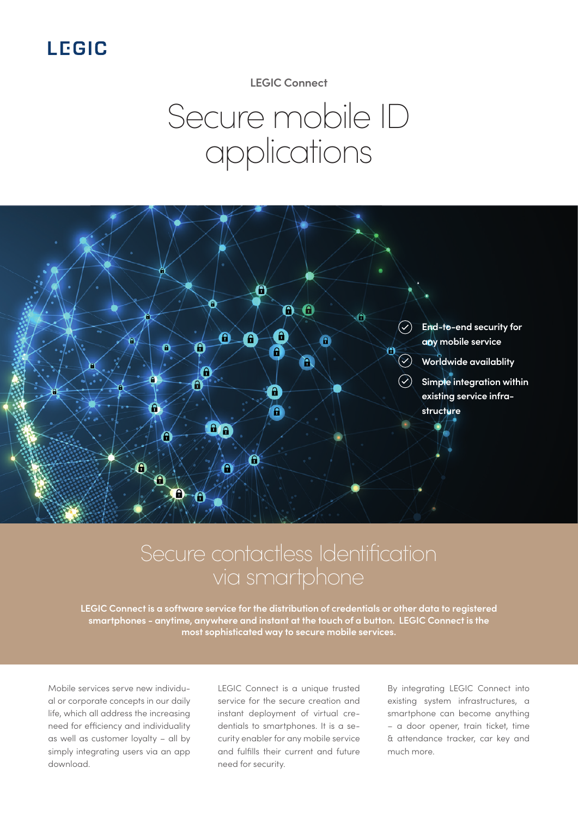## **LEGIC**

**LEGIC Connect**

# Secure mobile ID applications



## Secure contactless Identification via smartphone

**LEGIC Connect is a software service for the distribution of credentials or other data to registered smartphones - anytime, anywhere and instant at the touch of a button. LEGIC Connect is the most sophisticated way to secure mobile services.**

Mobile services serve new individual or corporate concepts in our daily life, which all address the increasing need for efficiency and individuality as well as customer loyalty – all by simply integrating users via an app download.

LEGIC Connect is a unique trusted service for the secure creation and instant deployment of virtual credentials to smartphones. It is a security enabler for any mobile service and fulfills their current and future need for security.

By integrating LEGIC Connect into existing system infrastructures, a smartphone can become anything – a door opener, train ticket, time & attendance tracker, car key and much more.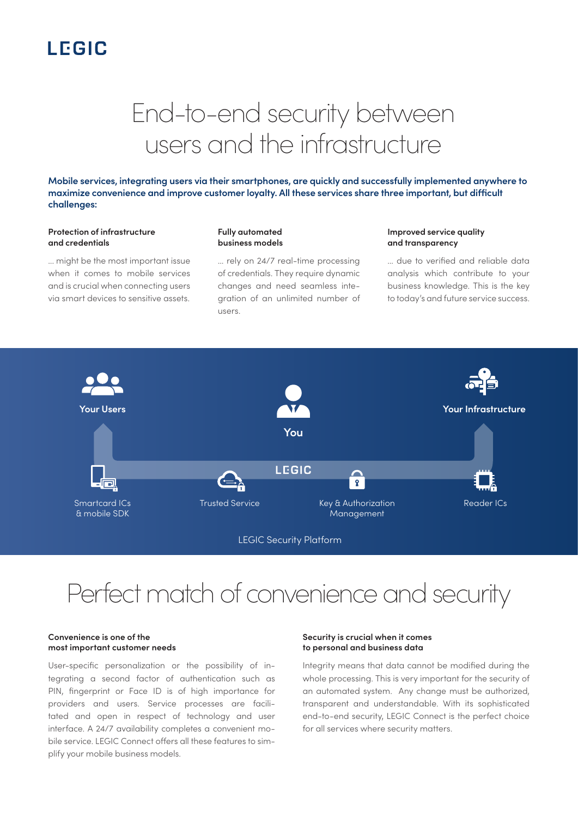## **LEGIC**

# End-to-end security between users and the infrastructure

**Mobile services, integrating users via their smartphones, are quickly and successfully implemented anywhere to maximize convenience and improve customer loyalty. All these services share three important, but difficult challenges:**

#### **Protection of infrastructure and credentials**

... might be the most important issue when it comes to mobile services and is crucial when connecting users via smart devices to sensitive assets.

#### **Fully automated business models**

... rely on 24/7 real-time processing of credentials. They require dynamic changes and need seamless integration of an unlimited number of users.

#### **Improved service quality and transparency**

... due to verified and reliable data analysis which contribute to your business knowledge. This is the key to today's and future service success.



## Perfect match of convenience and security

#### **Convenience is one of the most important customer needs**

User-specific personalization or the possibility of integrating a second factor of authentication such as PIN, fingerprint or Face ID is of high importance for providers and users. Service processes are facilitated and open in respect of technology and user interface. A 24/7 availability completes a convenient mobile service. LEGIC Connect offers all these features to simplify your mobile business models.

#### **Security is crucial when it comes to personal and business data**

Integrity means that data cannot be modified during the whole processing. This is very important for the security of an automated system. Any change must be authorized, transparent and understandable. With its sophisticated end-to-end security, LEGIC Connect is the perfect choice for all services where security matters.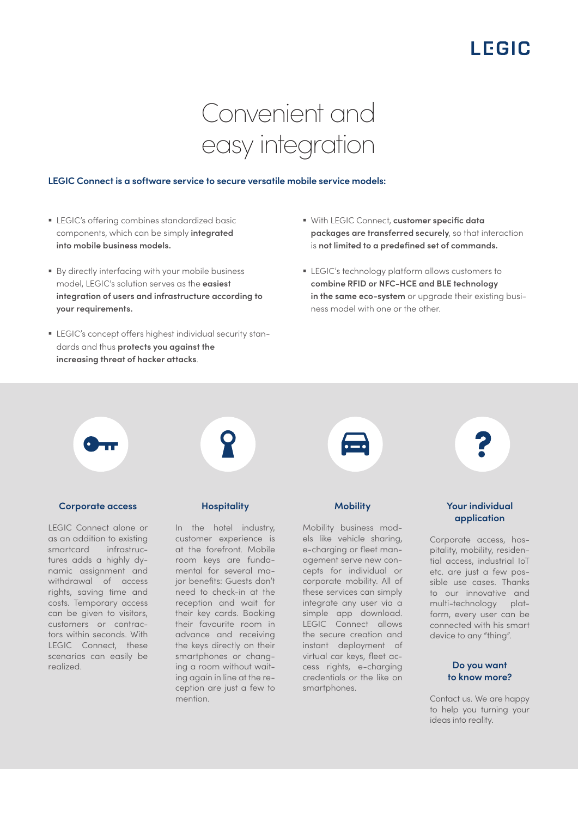## LEGIC

# Convenient and easy integration

#### **LEGIC Connect is a software service to secure versatile mobile service models:**

- LEGIC's offering combines standardized basic components, which can be simply **integrated into mobile business models.**
- § By directly interfacing with your mobile business model, LEGIC's solution serves as the **easiest integration of users and infrastructure according to your requirements.**
- **EGIC's concept offers highest individual security stan**dards and thus **protects you against the increasing threat of hacker attacks**.
- § With LEGIC Connect, **customer specific data packages are transferred securely**, so that interaction is **not limited to a predefined set of commands.**
- § LEGIC's technology platform allows customers to **combine RFID or NFC-HCE and BLE technology in the same eco-system** or upgrade their existing business model with one or the other.



#### **Corporate access**

LEGIC Connect alone or as an addition to existing smartcard infrastructures adds a highly dynamic assignment and withdrawal of access rights, saving time and costs. Temporary access can be given to visitors, customers or contractors within seconds. With LEGIC Connect, these scenarios can easily be realized.

#### **Hospitality**

In the hotel industry, customer experience is at the forefront. Mobile room keys are fundamental for several major benefits: Guests don't need to check-in at the reception and wait for their key cards. Booking their favourite room in advance and receiving the keys directly on their smartphones or changing a room without waiting again in line at the reception are just a few to mention.



Mobility business models like vehicle sharing, e-charging or fleet management serve new concepts for individual or corporate mobility. All of these services can simply integrate any user via a simple app download. LEGIC Connect allows the secure creation and instant deployment of virtual car keys, fleet access rights, e-charging credentials or the like on smartphones.



#### **Your individual application**

Corporate access, hospitality, mobility, residential access, industrial IoT etc. are just a few possible use cases. Thanks to our innovative and multi-technology platform, every user can be connected with his smart device to any "thing".

#### **Do you want to know more?**

Contact us. We are happy to help you turning your ideas into reality.